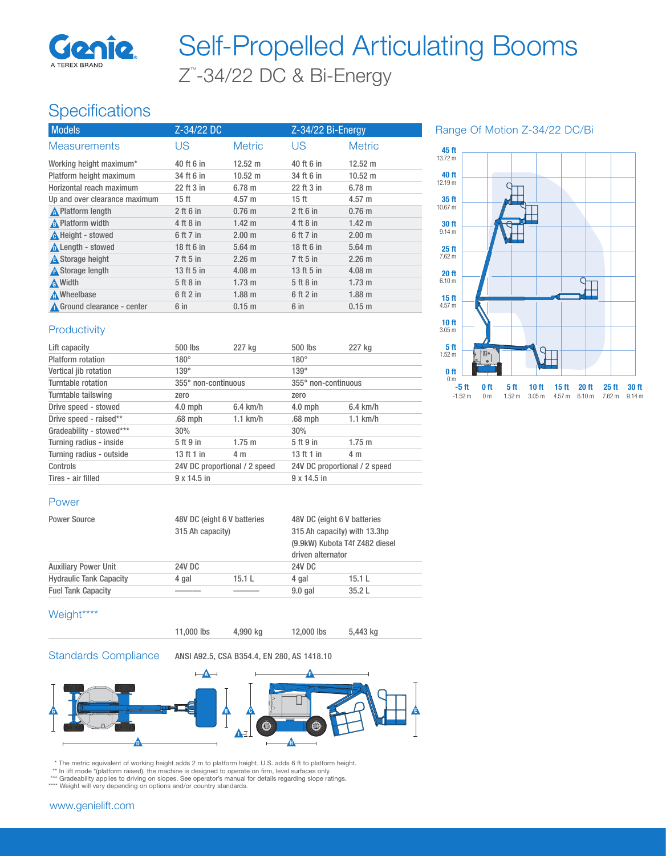

# Z™ -34/22 DC & Bi-Energy Self-Propelled Articulating Booms

# **Specifications**

| <b>Models</b>                 | Z-34/22 DC       |                   | Z-34/22 Bi-Energy |                   |
|-------------------------------|------------------|-------------------|-------------------|-------------------|
| <b>Measurements</b>           | US               | <b>Metric</b>     | <b>US</b>         | <b>Metric</b>     |
| Working height maximum*       | 40 ft 6 in       | $12.52 \text{ m}$ | 40 ft 6 in        | $12.52 \text{ m}$ |
| Platform height maximum       | 34 ft 6 in       | $10.52 \text{ m}$ | 34 ft 6 in        | $10.52 \text{ m}$ |
| Horizontal reach maximum      | 22 ft 3 in       | $6.78 \; m$       | 22 ft 3 in        | 6.78 m            |
| Up and over clearance maximum | 15 <sub>ft</sub> | $4.57 \text{ m}$  | 15 ft             | $4.57 \text{ m}$  |
| <b>A</b> Platform length      | $2$ ft 6 in      | $0.76$ m          | $2$ ft 6 in       | $0.76$ m          |
| A Platform width              | 4 ft 8 in        | $1.42 \text{ m}$  | 4 ft 8 in         | $1.42 \text{ m}$  |
| A Height - stowed             | 6 ft 7 in        | 2.00 <sub>m</sub> | 6 ft 7 in         | 2.00 m            |
| Length - stowed               | 18 ft 6 in       | $5.64$ m          | 18 ft 6 in        | $5.64$ m          |
| <b>A</b> Storage height       | 7 ft 5 in        | 2.26 m            | 7 ft 5 in         | 2.26 m            |
| A Storage length              | 13 ft 5 in       | $4.08 \; m$       | 13 ft 5 in        | $4.08 \text{ m}$  |
| A Width                       | 5 ft 8 in        | $1.73 \text{ m}$  | 5 ft 8 in         | $1.73 \text{ m}$  |
| <b>A</b> Wheelbase            | $6$ ft $2$ in    | 1.88 <sub>m</sub> | 6 ft 2 in         | $1.88$ m          |
| ▲ Ground clearance - center   | 6 in             | 0.15 m            | $6$ in            | $0.15$ m          |

Range Of Motion Z-34/22 DC/Bi



#### **Productivity**

| Lift capacity            | 500 lbs                       | 227 kg      | $500$ lbs                     | 227 kg     |
|--------------------------|-------------------------------|-------------|-------------------------------|------------|
| Platform rotation        | $180^\circ$                   |             | $180^\circ$                   |            |
| Vertical jib rotation    | $139^\circ$                   |             | $139^\circ$                   |            |
| Turntable rotation       | 355° non-continuous           |             | 355° non-continuous           |            |
| Turntable tailswing      | zero                          |             | zero                          |            |
| Drive speed - stowed     | $4.0$ mph                     | $6.4$ km/h  | $4.0$ mph                     | $6.4$ km/h |
| Drive speed - raised**   | $.68$ mph                     | $1.1$ km/h  | $.68$ mph                     | $1.1$ km/h |
| Gradeability - stowed*** | 30%                           |             | 30%                           |            |
| Turning radius - inside  | 5 ft 9 in                     | $1.75 \; m$ | 5 ft 9 in                     | $1.75$ m   |
| Turning radius - outside | 13 ft 1 in                    | 4 m         | 13 ft 1 in                    | 4 m        |
| Controls                 | 24V DC proportional / 2 speed |             | 24V DC proportional / 2 speed |            |
| Tires - air filled       | $9 \times 14.5$ in            |             | $9 \times 14.5$ in            |            |

#### Power

| <b>Power Source</b>            | 48V DC (eight 6 V batteries<br>315 Ah capacity) |       | 48V DC (eight 6 V batteries<br>315 Ah capacity) with 13.3hp<br>(9.9kW) Kubota T4f Z482 diesel<br>driven alternator |       |
|--------------------------------|-------------------------------------------------|-------|--------------------------------------------------------------------------------------------------------------------|-------|
| <b>Auxiliary Power Unit</b>    | <b>24V DC</b>                                   |       | 24V DC                                                                                                             |       |
| <b>Hydraulic Tank Capacity</b> | 4 gal                                           | 15.1L | 4 gal                                                                                                              | 15.1L |
| <b>Fuel Tank Capacity</b>      |                                                 |       | $9.0$ gal                                                                                                          | 35.2L |

### Weight\*\*\*\*



Standards Compliance ANSI A92.5, CSA B354.4, EN 280, AS 1418.10



\* The metric equivalent of working height adds 2 m to platform height. U.S. adds 6 ft to platform height.<br>\*\* In lift mode \*(platform raised), the machine is designed to operate on firm, level surfaces only.<br>\*\*\* Gradeabilit

\*\*\*\* Weight will vary depending on options and/or country standards.

#### www.genielift.com